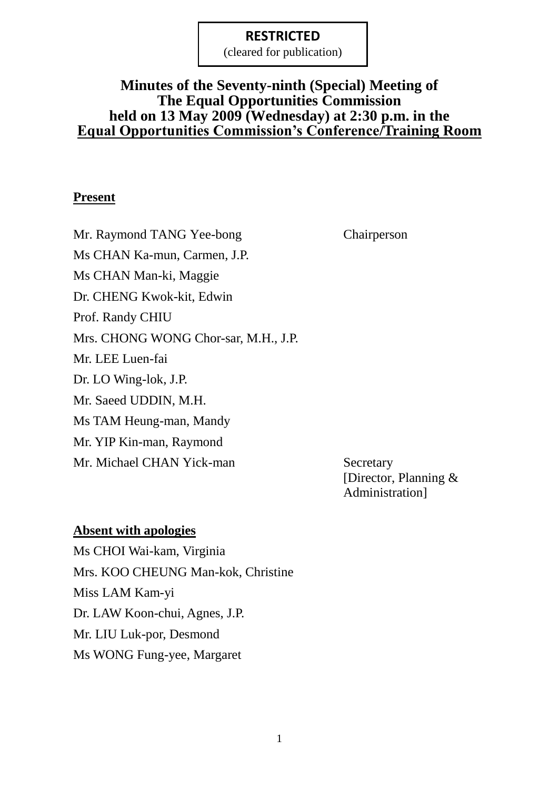(cleared for publication)

# **Minutes of the Seventy-ninth (Special) Meeting of The Equal Opportunities Commission held on 13 May 2009 (Wednesday) at 2:30 p.m. in the Equal Opportunities Commission's Conference/Training Room**

## **Present**

Mr. Raymond TANG Yee-bong Chairperson Ms CHAN Ka-mun, Carmen, J.P. Ms CHAN Man-ki, Maggie Dr. CHENG Kwok-kit, Edwin Prof. Randy CHIU Mrs. CHONG WONG Chor-sar, M.H., J.P. Mr. LEE Luen-fai Dr. LO Wing-lok, J.P. Mr. Saeed UDDIN, M.H. Ms TAM Heung-man, Mandy Mr. YIP Kin-man, Raymond Mr. Michael CHAN Yick-man Secretary

[Director, Planning & Administration]

## **Absent with apologies**

Ms CHOI Wai-kam, Virginia Mrs. KOO CHEUNG Man-kok, Christine Miss LAM Kam-yi Dr. LAW Koon-chui, Agnes, J.P. Mr. LIU Luk-por, Desmond Ms WONG Fung-yee, Margaret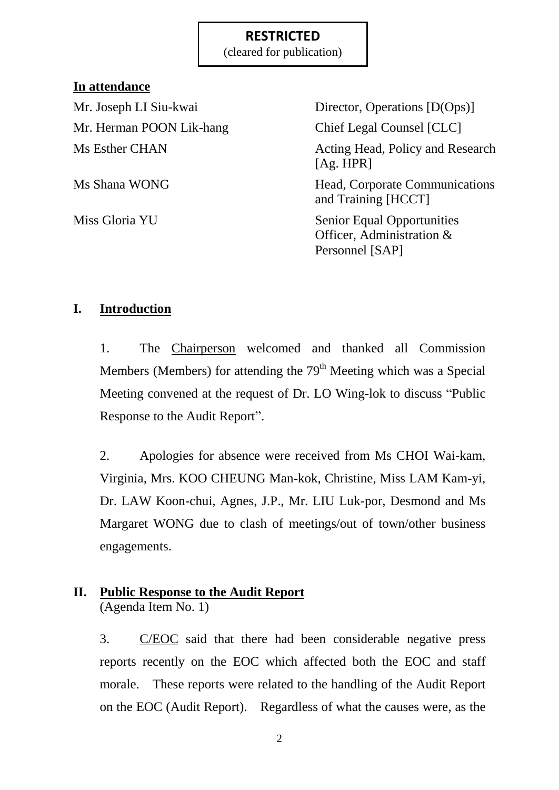(cleared for publication)

# **In attendance**

Mr. Joseph LI Siu-kwai Director, Operations [D(Ops)] Mr. Herman POON Lik-hang Chief Legal Counsel [CLC] Ms Esther CHAN Acting Head, Policy and Research [Ag. HPR] Ms Shana WONG Head, Corporate Communications and Training [HCCT] Miss Gloria YU Senior Equal Opportunities Officer, Administration & Personnel [SAP]

# **I. Introduction**

1. The Chairperson welcomed and thanked all Commission Members (Members) for attending the  $79<sup>th</sup>$  Meeting which was a Special Meeting convened at the request of Dr. LO Wing-lok to discuss "Public Response to the Audit Report".

2. Apologies for absence were received from Ms CHOI Wai-kam, Virginia, Mrs. KOO CHEUNG Man-kok, Christine, Miss LAM Kam-yi, Dr. LAW Koon-chui, Agnes, J.P., Mr. LIU Luk-por, Desmond and Ms Margaret WONG due to clash of meetings/out of town/other business engagements.

# **II. Public Response to the Audit Report**

(Agenda Item No. 1)

3. C/EOC said that there had been considerable negative press reports recently on the EOC which affected both the EOC and staff morale. These reports were related to the handling of the Audit Report on the EOC (Audit Report). Regardless of what the causes were, as the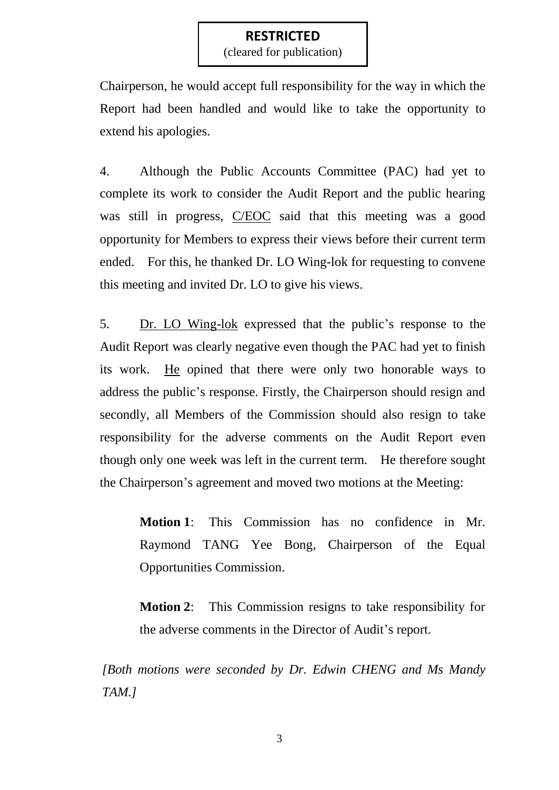(cleared for publication)

Chairperson, he would accept full responsibility for the way in which the Report had been handled and would like to take the opportunity to extend his apologies.

4. Although the Public Accounts Committee (PAC) had yet to complete its work to consider the Audit Report and the public hearing was still in progress, C/EOC said that this meeting was a good opportunity for Members to express their views before their current term ended. For this, he thanked Dr. LO Wing-lok for requesting to convene this meeting and invited Dr. LO to give his views.

5. Dr. LO Wing-lok expressed that the public"s response to the Audit Report was clearly negative even though the PAC had yet to finish its work. He opined that there were only two honorable ways to address the public"s response. Firstly, the Chairperson should resign and secondly, all Members of the Commission should also resign to take responsibility for the adverse comments on the Audit Report even though only one week was left in the current term. He therefore sought the Chairperson's agreement and moved two motions at the Meeting:

> **Motion 1**: This Commission has no confidence in Mr. Raymond TANG Yee Bong, Chairperson of the Equal Opportunities Commission.

> **Motion 2**: This Commission resigns to take responsibility for the adverse comments in the Director of Audit"s report.

*[Both motions were seconded by Dr. Edwin CHENG and Ms Mandy TAM.]*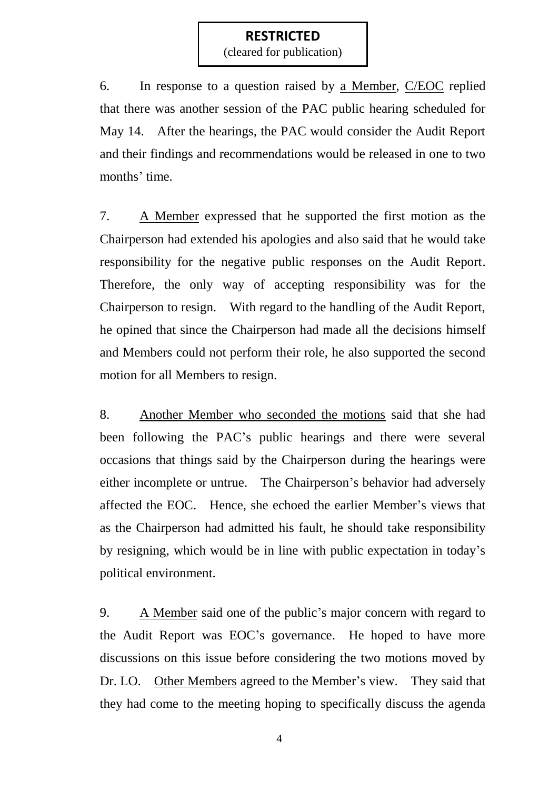(cleared for publication)

6. In response to a question raised by a Member, C/EOC replied that there was another session of the PAC public hearing scheduled for May 14. After the hearings, the PAC would consider the Audit Report and their findings and recommendations would be released in one to two months' time.

7. A Member expressed that he supported the first motion as the Chairperson had extended his apologies and also said that he would take responsibility for the negative public responses on the Audit Report. Therefore, the only way of accepting responsibility was for the Chairperson to resign. With regard to the handling of the Audit Report, he opined that since the Chairperson had made all the decisions himself and Members could not perform their role, he also supported the second motion for all Members to resign.

8. Another Member who seconded the motions said that she had been following the PAC"s public hearings and there were several occasions that things said by the Chairperson during the hearings were either incomplete or untrue. The Chairperson's behavior had adversely affected the EOC. Hence, she echoed the earlier Member"s views that as the Chairperson had admitted his fault, he should take responsibility by resigning, which would be in line with public expectation in today"s political environment.

9. A Member said one of the public"s major concern with regard to the Audit Report was EOC"s governance. He hoped to have more discussions on this issue before considering the two motions moved by Dr. LO. Other Members agreed to the Member's view. They said that they had come to the meeting hoping to specifically discuss the agenda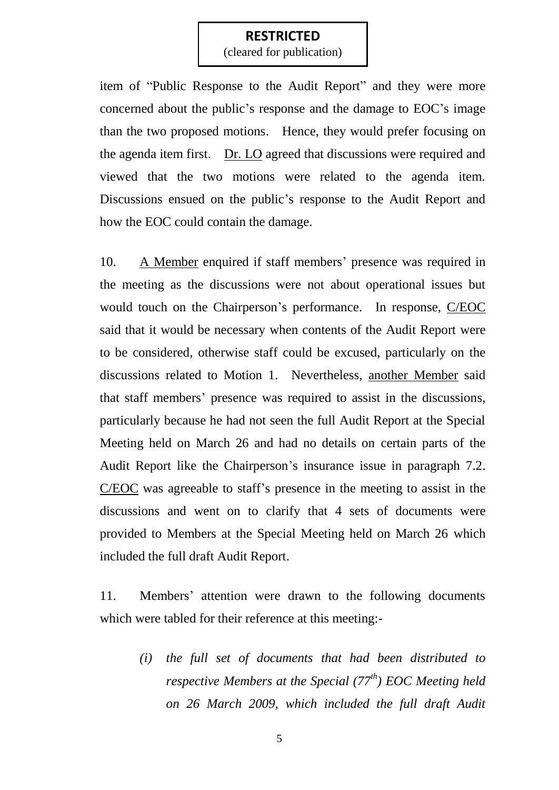(cleared for publication)

item of "Public Response to the Audit Report" and they were more concerned about the public"s response and the damage to EOC"s image than the two proposed motions. Hence, they would prefer focusing on the agenda item first. Dr. LO agreed that discussions were required and viewed that the two motions were related to the agenda item. Discussions ensued on the public's response to the Audit Report and how the EOC could contain the damage.

10. A Member enquired if staff members' presence was required in the meeting as the discussions were not about operational issues but would touch on the Chairperson"s performance. In response, C/EOC said that it would be necessary when contents of the Audit Report were to be considered, otherwise staff could be excused, particularly on the discussions related to Motion 1. Nevertheless, another Member said that staff members" presence was required to assist in the discussions, particularly because he had not seen the full Audit Report at the Special Meeting held on March 26 and had no details on certain parts of the Audit Report like the Chairperson's insurance issue in paragraph 7.2. C/EOC was agreeable to staff"s presence in the meeting to assist in the discussions and went on to clarify that 4 sets of documents were provided to Members at the Special Meeting held on March 26 which included the full draft Audit Report.

11. Members' attention were drawn to the following documents which were tabled for their reference at this meeting:-

> *(i) the full set of documents that had been distributed to respective Members at the Special (77th) EOC Meeting held on 26 March 2009, which included the full draft Audit*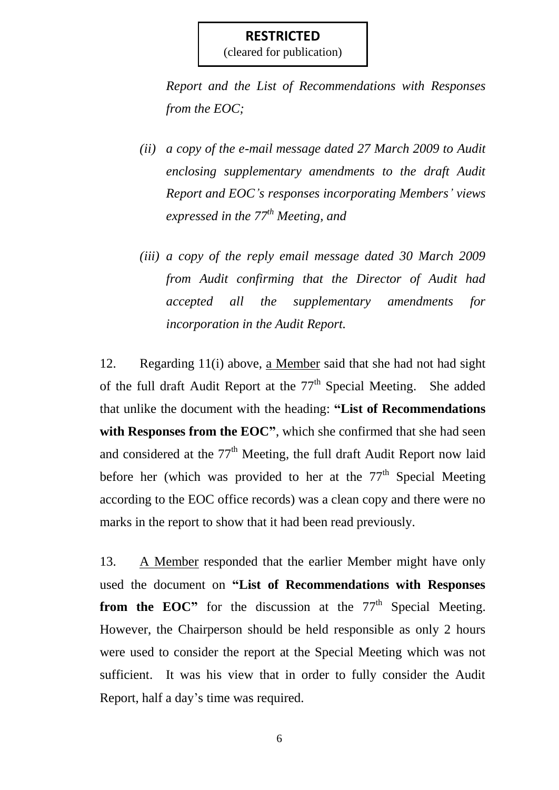(cleared for publication)

*Report and the List of Recommendations with Responses from the EOC;*

- *(ii) a copy of the e-mail message dated 27 March 2009 to Audit enclosing supplementary amendments to the draft Audit Report and EOC's responses incorporating Members' views expressed in the 77th Meeting, and*
- *(iii) a copy of the reply email message dated 30 March 2009 from Audit confirming that the Director of Audit had accepted all the supplementary amendments for incorporation in the Audit Report.*

12. Regarding 11(i) above, a Member said that she had not had sight of the full draft Audit Report at the  $77<sup>th</sup>$  Special Meeting. She added that unlike the document with the heading: **"List of Recommendations**  with Responses from the EOC", which she confirmed that she had seen and considered at the  $77<sup>th</sup>$  Meeting, the full draft Audit Report now laid before her (which was provided to her at the  $77<sup>th</sup>$  Special Meeting according to the EOC office records) was a clean copy and there were no marks in the report to show that it had been read previously.

13. A Member responded that the earlier Member might have only used the document on **"List of Recommendations with Responses from the EOC"** for the discussion at the 77<sup>th</sup> Special Meeting. However, the Chairperson should be held responsible as only 2 hours were used to consider the report at the Special Meeting which was not sufficient. It was his view that in order to fully consider the Audit Report, half a day"s time was required.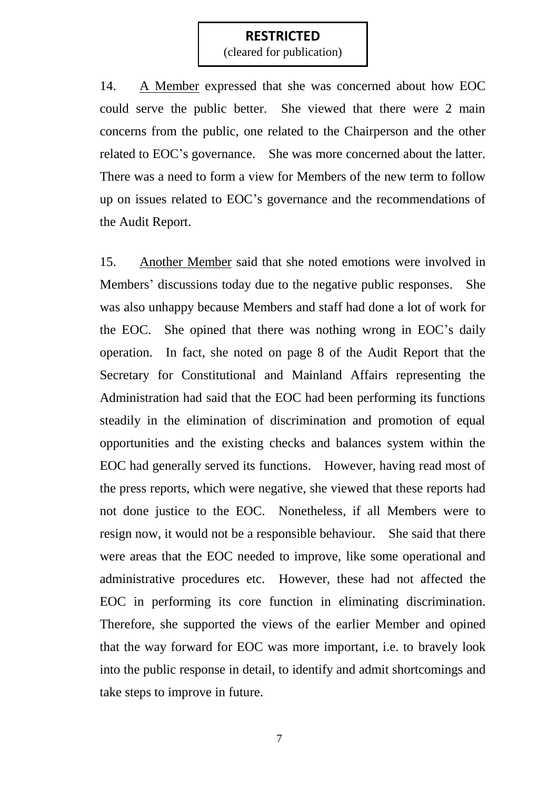(cleared for publication)

14. A Member expressed that she was concerned about how EOC could serve the public better. She viewed that there were 2 main concerns from the public, one related to the Chairperson and the other related to EOC"s governance. She was more concerned about the latter. There was a need to form a view for Members of the new term to follow up on issues related to EOC"s governance and the recommendations of the Audit Report.

15. Another Member said that she noted emotions were involved in Members' discussions today due to the negative public responses. She was also unhappy because Members and staff had done a lot of work for the EOC. She opined that there was nothing wrong in EOC"s daily operation. In fact, she noted on page 8 of the Audit Report that the Secretary for Constitutional and Mainland Affairs representing the Administration had said that the EOC had been performing its functions steadily in the elimination of discrimination and promotion of equal opportunities and the existing checks and balances system within the EOC had generally served its functions. However, having read most of the press reports, which were negative, she viewed that these reports had not done justice to the EOC. Nonetheless, if all Members were to resign now, it would not be a responsible behaviour. She said that there were areas that the EOC needed to improve, like some operational and administrative procedures etc. However, these had not affected the EOC in performing its core function in eliminating discrimination. Therefore, she supported the views of the earlier Member and opined that the way forward for EOC was more important, i.e. to bravely look into the public response in detail, to identify and admit shortcomings and take steps to improve in future.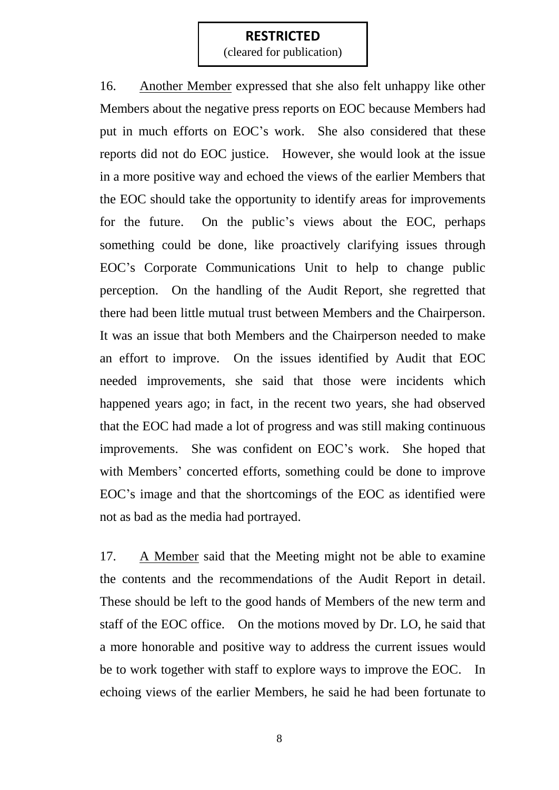(cleared for publication)

16. Another Member expressed that she also felt unhappy like other Members about the negative press reports on EOC because Members had put in much efforts on EOC"s work. She also considered that these reports did not do EOC justice. However, she would look at the issue in a more positive way and echoed the views of the earlier Members that the EOC should take the opportunity to identify areas for improvements for the future. On the public's views about the EOC, perhaps something could be done, like proactively clarifying issues through EOC"s Corporate Communications Unit to help to change public perception. On the handling of the Audit Report, she regretted that there had been little mutual trust between Members and the Chairperson. It was an issue that both Members and the Chairperson needed to make an effort to improve. On the issues identified by Audit that EOC needed improvements, she said that those were incidents which happened years ago; in fact, in the recent two years, she had observed that the EOC had made a lot of progress and was still making continuous improvements. She was confident on EOC"s work. She hoped that with Members' concerted efforts, something could be done to improve EOC"s image and that the shortcomings of the EOC as identified were not as bad as the media had portrayed.

17. A Member said that the Meeting might not be able to examine the contents and the recommendations of the Audit Report in detail. These should be left to the good hands of Members of the new term and staff of the EOC office. On the motions moved by Dr. LO, he said that a more honorable and positive way to address the current issues would be to work together with staff to explore ways to improve the EOC. In echoing views of the earlier Members, he said he had been fortunate to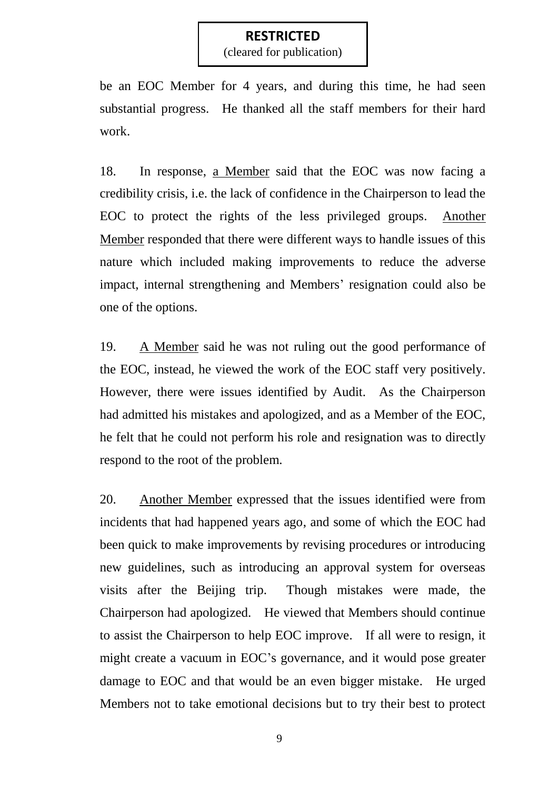(cleared for publication)

be an EOC Member for 4 years, and during this time, he had seen substantial progress. He thanked all the staff members for their hard work.

18. In response, a Member said that the EOC was now facing a credibility crisis, i.e. the lack of confidence in the Chairperson to lead the EOC to protect the rights of the less privileged groups. Another Member responded that there were different ways to handle issues of this nature which included making improvements to reduce the adverse impact, internal strengthening and Members' resignation could also be one of the options.

19. A Member said he was not ruling out the good performance of the EOC, instead, he viewed the work of the EOC staff very positively. However, there were issues identified by Audit. As the Chairperson had admitted his mistakes and apologized, and as a Member of the EOC, he felt that he could not perform his role and resignation was to directly respond to the root of the problem.

20. Another Member expressed that the issues identified were from incidents that had happened years ago, and some of which the EOC had been quick to make improvements by revising procedures or introducing new guidelines, such as introducing an approval system for overseas visits after the Beijing trip. Though mistakes were made, the Chairperson had apologized. He viewed that Members should continue to assist the Chairperson to help EOC improve. If all were to resign, it might create a vacuum in EOC's governance, and it would pose greater damage to EOC and that would be an even bigger mistake. He urged Members not to take emotional decisions but to try their best to protect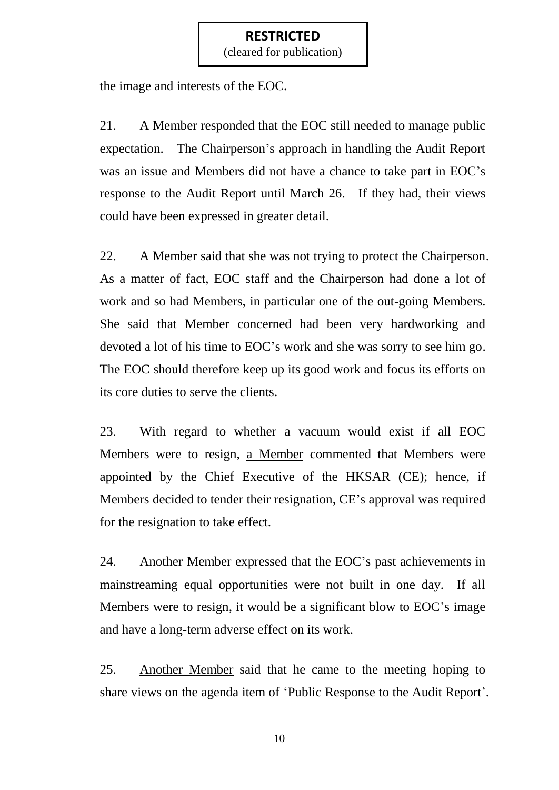(cleared for publication)

the image and interests of the EOC.

21. A Member responded that the EOC still needed to manage public expectation. The Chairperson's approach in handling the Audit Report was an issue and Members did not have a chance to take part in EOC"s response to the Audit Report until March 26. If they had, their views could have been expressed in greater detail.

22. A Member said that she was not trying to protect the Chairperson. As a matter of fact, EOC staff and the Chairperson had done a lot of work and so had Members, in particular one of the out-going Members. She said that Member concerned had been very hardworking and devoted a lot of his time to EOC"s work and she was sorry to see him go. The EOC should therefore keep up its good work and focus its efforts on its core duties to serve the clients.

23. With regard to whether a vacuum would exist if all EOC Members were to resign, a Member commented that Members were appointed by the Chief Executive of the HKSAR (CE); hence, if Members decided to tender their resignation, CE"s approval was required for the resignation to take effect.

24. Another Member expressed that the EOC"s past achievements in mainstreaming equal opportunities were not built in one day. If all Members were to resign, it would be a significant blow to EOC"s image and have a long-term adverse effect on its work.

25. Another Member said that he came to the meeting hoping to share views on the agenda item of 'Public Response to the Audit Report'.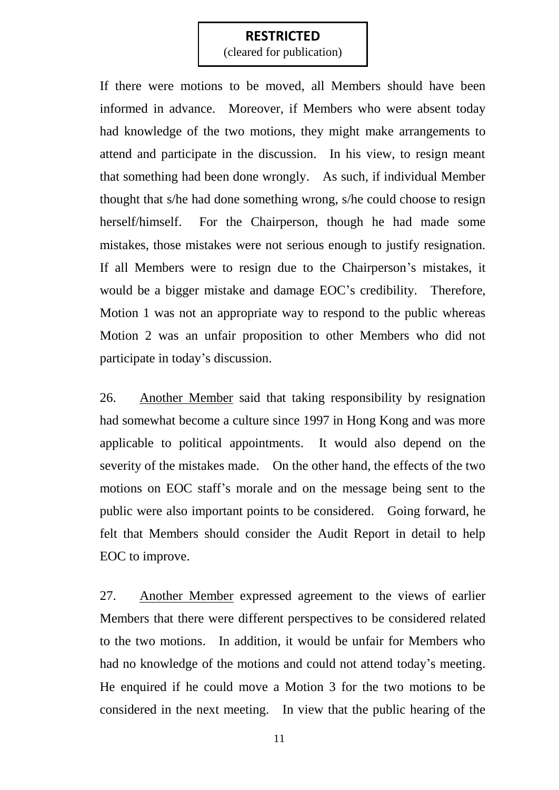(cleared for publication)

If there were motions to be moved, all Members should have been informed in advance. Moreover, if Members who were absent today had knowledge of the two motions, they might make arrangements to attend and participate in the discussion. In his view, to resign meant that something had been done wrongly. As such, if individual Member thought that s/he had done something wrong, s/he could choose to resign herself/himself. For the Chairperson, though he had made some mistakes, those mistakes were not serious enough to justify resignation. If all Members were to resign due to the Chairperson"s mistakes, it would be a bigger mistake and damage EOC's credibility. Therefore, Motion 1 was not an appropriate way to respond to the public whereas Motion 2 was an unfair proposition to other Members who did not participate in today"s discussion.

26. Another Member said that taking responsibility by resignation had somewhat become a culture since 1997 in Hong Kong and was more applicable to political appointments. It would also depend on the severity of the mistakes made. On the other hand, the effects of the two motions on EOC staff"s morale and on the message being sent to the public were also important points to be considered. Going forward, he felt that Members should consider the Audit Report in detail to help EOC to improve.

27. Another Member expressed agreement to the views of earlier Members that there were different perspectives to be considered related to the two motions. In addition, it would be unfair for Members who had no knowledge of the motions and could not attend today"s meeting. He enquired if he could move a Motion 3 for the two motions to be considered in the next meeting. In view that the public hearing of the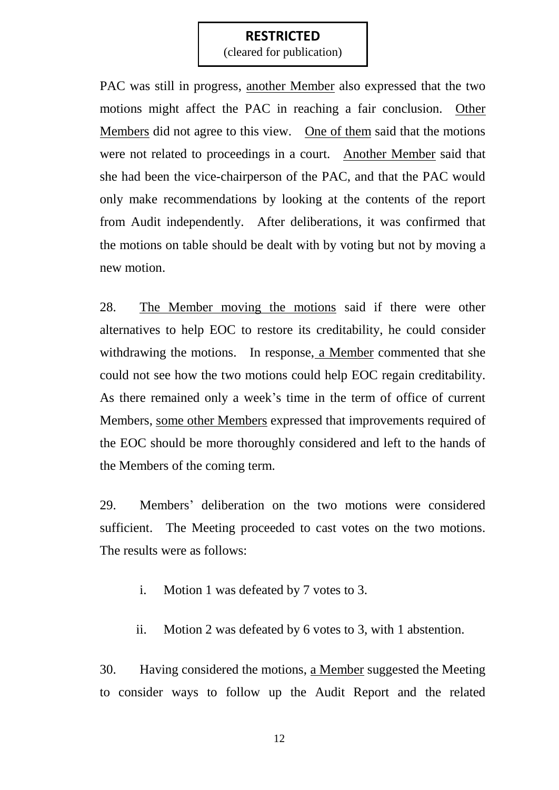(cleared for publication)

PAC was still in progress, another Member also expressed that the two motions might affect the PAC in reaching a fair conclusion. Other Members did not agree to this view. One of them said that the motions were not related to proceedings in a court. Another Member said that she had been the vice-chairperson of the PAC, and that the PAC would only make recommendations by looking at the contents of the report from Audit independently. After deliberations, it was confirmed that the motions on table should be dealt with by voting but not by moving a new motion.

28. The Member moving the motions said if there were other alternatives to help EOC to restore its creditability, he could consider withdrawing the motions. In response, a Member commented that she could not see how the two motions could help EOC regain creditability. As there remained only a week"s time in the term of office of current Members, some other Members expressed that improvements required of the EOC should be more thoroughly considered and left to the hands of the Members of the coming term.

29. Members" deliberation on the two motions were considered sufficient. The Meeting proceeded to cast votes on the two motions. The results were as follows:

- i. Motion 1 was defeated by 7 votes to 3.
- ii. Motion 2 was defeated by 6 votes to 3, with 1 abstention.

30. Having considered the motions, a Member suggested the Meeting to consider ways to follow up the Audit Report and the related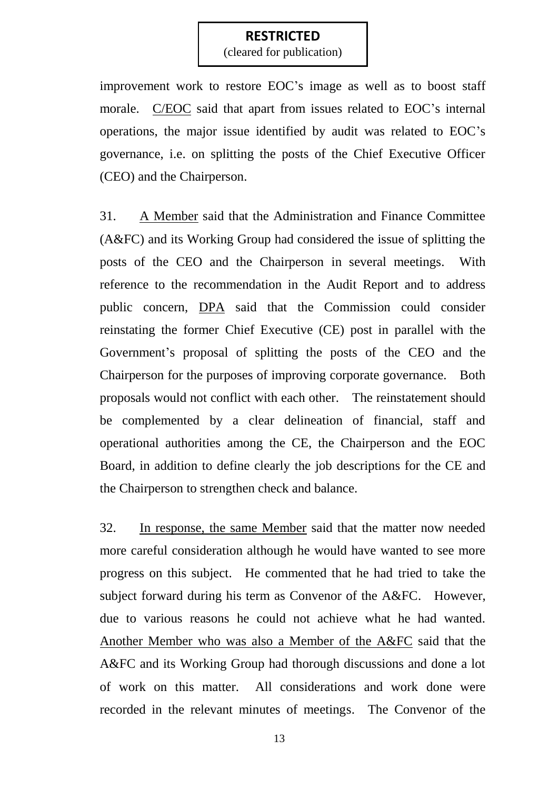(cleared for publication)

improvement work to restore EOC"s image as well as to boost staff morale. C/EOC said that apart from issues related to EOC"s internal operations, the major issue identified by audit was related to EOC"s governance, i.e. on splitting the posts of the Chief Executive Officer (CEO) and the Chairperson.

31. A Member said that the Administration and Finance Committee (A&FC) and its Working Group had considered the issue of splitting the posts of the CEO and the Chairperson in several meetings. With reference to the recommendation in the Audit Report and to address public concern, DPA said that the Commission could consider reinstating the former Chief Executive (CE) post in parallel with the Government"s proposal of splitting the posts of the CEO and the Chairperson for the purposes of improving corporate governance. Both proposals would not conflict with each other. The reinstatement should be complemented by a clear delineation of financial, staff and operational authorities among the CE, the Chairperson and the EOC Board, in addition to define clearly the job descriptions for the CE and the Chairperson to strengthen check and balance.

32. In response, the same Member said that the matter now needed more careful consideration although he would have wanted to see more progress on this subject. He commented that he had tried to take the subject forward during his term as Convenor of the A&FC. However, due to various reasons he could not achieve what he had wanted. Another Member who was also a Member of the A&FC said that the A&FC and its Working Group had thorough discussions and done a lot of work on this matter. All considerations and work done were recorded in the relevant minutes of meetings. The Convenor of the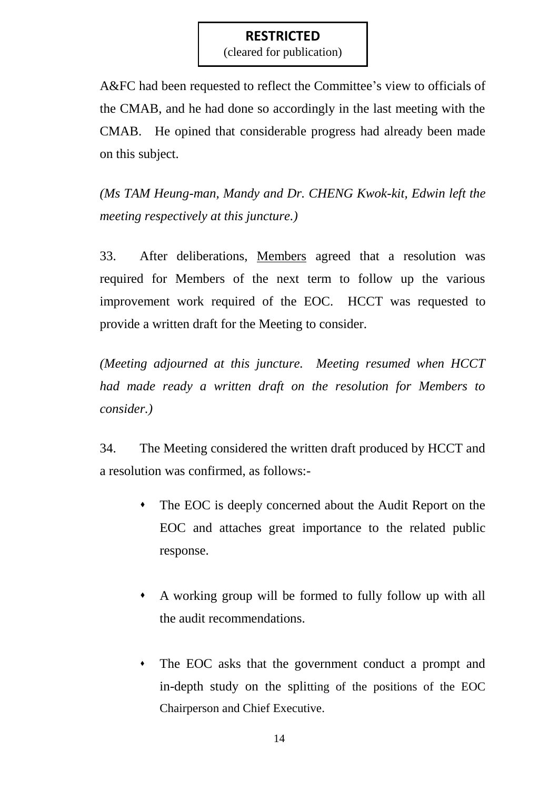(cleared for publication)

A&FC had been requested to reflect the Committee's view to officials of the CMAB, and he had done so accordingly in the last meeting with the CMAB. He opined that considerable progress had already been made on this subject.

*(Ms TAM Heung-man, Mandy and Dr. CHENG Kwok-kit, Edwin left the meeting respectively at this juncture.)*

33. After deliberations, Members agreed that a resolution was required for Members of the next term to follow up the various improvement work required of the EOC. HCCT was requested to provide a written draft for the Meeting to consider.

*(Meeting adjourned at this juncture. Meeting resumed when HCCT had made ready a written draft on the resolution for Members to consider.)*

34. The Meeting considered the written draft produced by HCCT and a resolution was confirmed, as follows:-

- The EOC is deeply concerned about the Audit Report on the EOC and attaches great importance to the related public response.
- A working group will be formed to fully follow up with all the audit recommendations.
- The EOC asks that the government conduct a prompt and in-depth study on the splitting of the positions of the EOC Chairperson and Chief Executive.